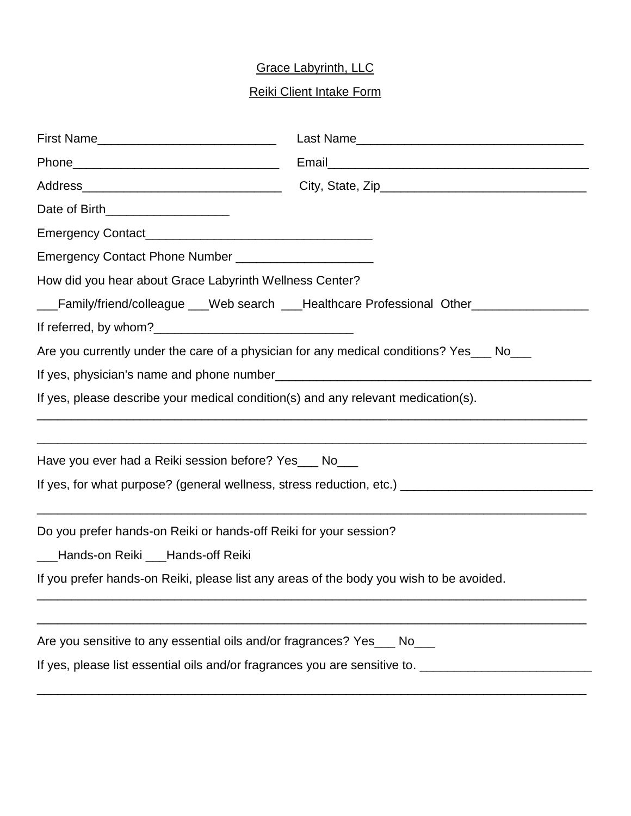## Grace Labyrinth, LLC

## Reiki Client Intake Form

| Date of Birth____________________                                                                                                                                                                                                                                                                                                   |  |                                                                   |  |
|-------------------------------------------------------------------------------------------------------------------------------------------------------------------------------------------------------------------------------------------------------------------------------------------------------------------------------------|--|-------------------------------------------------------------------|--|
|                                                                                                                                                                                                                                                                                                                                     |  |                                                                   |  |
|                                                                                                                                                                                                                                                                                                                                     |  |                                                                   |  |
| How did you hear about Grace Labyrinth Wellness Center?<br>___Family/friend/colleague ___Web search ___Healthcare Professional Other______________<br>Are you currently under the care of a physician for any medical conditions? Yes___ No___<br>If yes, please describe your medical condition(s) and any relevant medication(s). |  |                                                                   |  |
|                                                                                                                                                                                                                                                                                                                                     |  |                                                                   |  |
|                                                                                                                                                                                                                                                                                                                                     |  | Have you ever had a Reiki session before? Yes___ No___            |  |
|                                                                                                                                                                                                                                                                                                                                     |  |                                                                   |  |
|                                                                                                                                                                                                                                                                                                                                     |  |                                                                   |  |
|                                                                                                                                                                                                                                                                                                                                     |  | Do you prefer hands-on Reiki or hands-off Reiki for your session? |  |
| ___Hands-on Reiki ___Hands-off Reiki                                                                                                                                                                                                                                                                                                |  |                                                                   |  |
| If you prefer hands-on Reiki, please list any areas of the body you wish to be avoided.                                                                                                                                                                                                                                             |  |                                                                   |  |
|                                                                                                                                                                                                                                                                                                                                     |  |                                                                   |  |
|                                                                                                                                                                                                                                                                                                                                     |  |                                                                   |  |
| Are you sensitive to any essential oils and/or fragrances? Yes___ No___                                                                                                                                                                                                                                                             |  |                                                                   |  |
| If yes, please list essential oils and/or fragrances you are sensitive to. _________________________                                                                                                                                                                                                                                |  |                                                                   |  |

\_\_\_\_\_\_\_\_\_\_\_\_\_\_\_\_\_\_\_\_\_\_\_\_\_\_\_\_\_\_\_\_\_\_\_\_\_\_\_\_\_\_\_\_\_\_\_\_\_\_\_\_\_\_\_\_\_\_\_\_\_\_\_\_\_\_\_\_\_\_\_\_\_\_\_\_\_\_\_\_